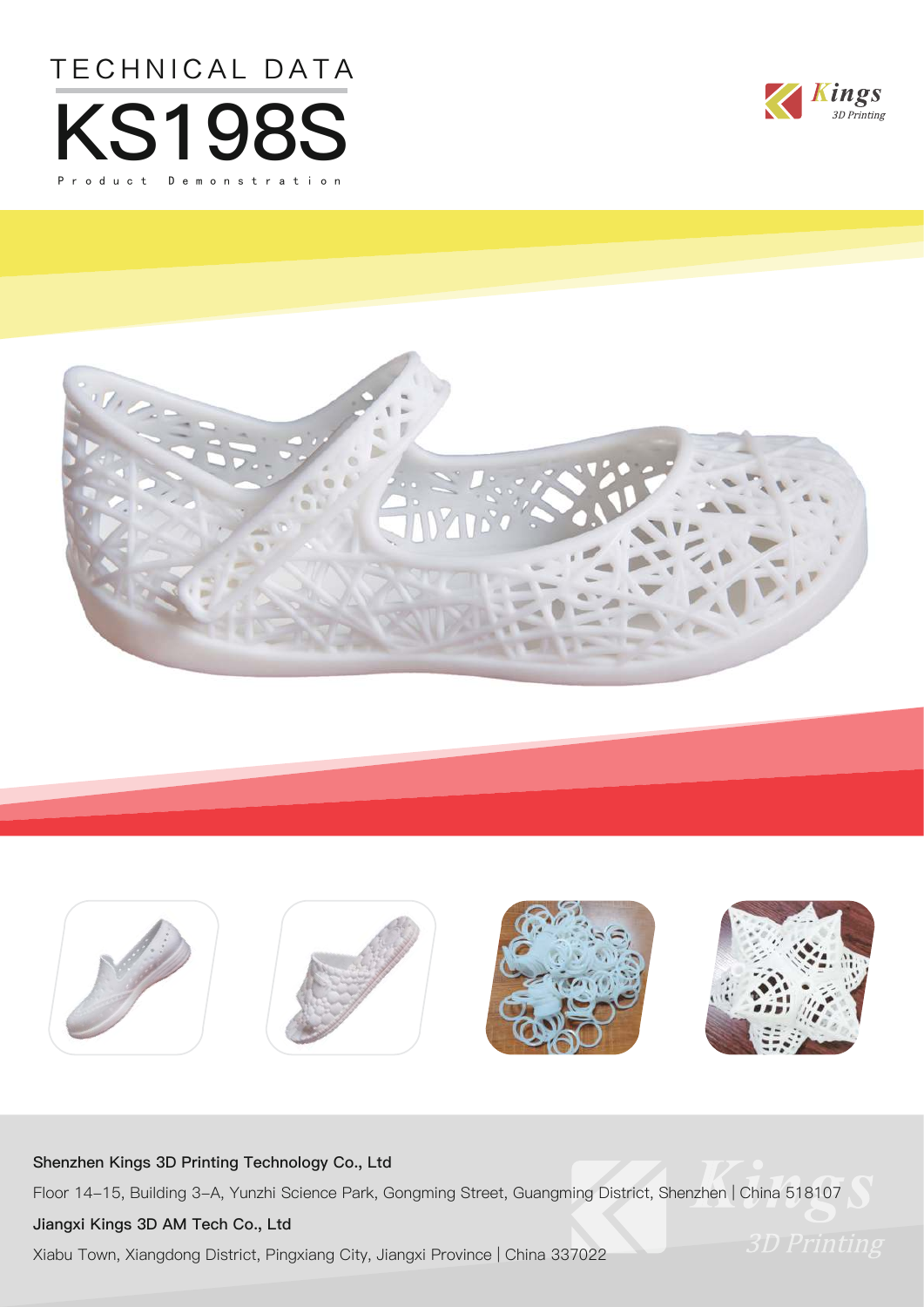







### **Shenzhen Kings 3D Printing Technology Co., Ltd**

Floor 14-15, Building 3-A, Yunzhi Science Park, Gongming Street, Guangming District, Shenzhen | China 518107

### **Jiangxi Kings 3D AM Tech Co., Ltd**

Xiabu Town, Xiangdong District, Pingxiang City, Jiangxi Province | China 337022